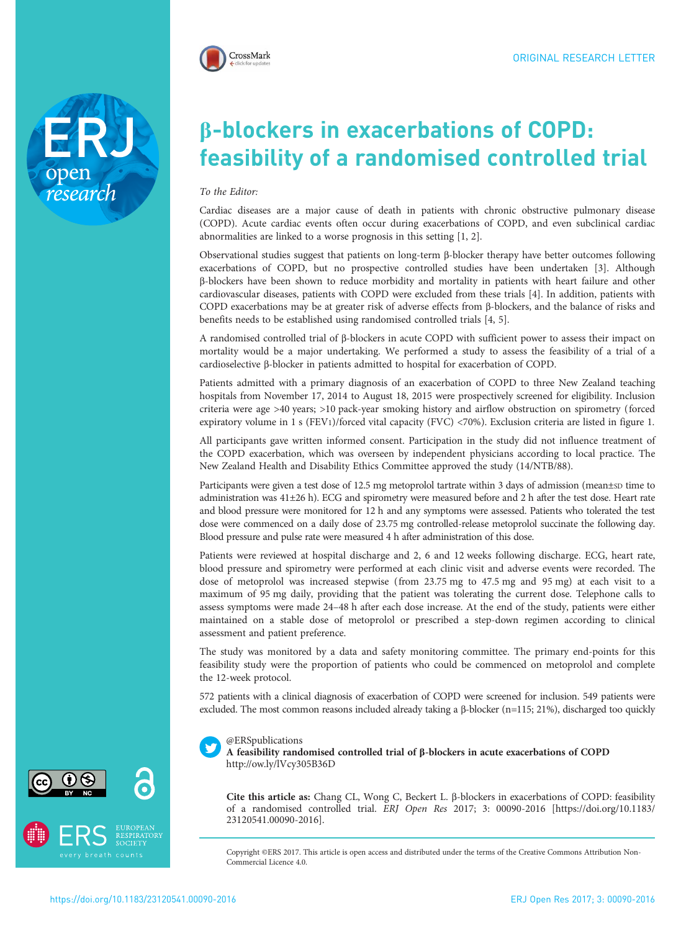



# β-blockers in exacerbations of COPD: feasibility of a randomised controlled trial

#### To the Editor:

Cardiac diseases are a major cause of death in patients with chronic obstructive pulmonary disease (COPD). Acute cardiac events often occur during exacerbations of COPD, and even subclinical cardiac abnormalities are linked to a worse prognosis in this setting [[1, 2\]](#page-3-0).

Observational studies suggest that patients on long-term β-blocker therapy have better outcomes following exacerbations of COPD, but no prospective controlled studies have been undertaken [[3](#page-3-0)]. Although β-blockers have been shown to reduce morbidity and mortality in patients with heart failure and other cardiovascular diseases, patients with COPD were excluded from these trials [[4\]](#page-3-0). In addition, patients with COPD exacerbations may be at greater risk of adverse effects from β-blockers, and the balance of risks and benefits needs to be established using randomised controlled trials [[4](#page-3-0), [5](#page-3-0)].

A randomised controlled trial of β-blockers in acute COPD with sufficient power to assess their impact on mortality would be a major undertaking. We performed a study to assess the feasibility of a trial of a cardioselective β-blocker in patients admitted to hospital for exacerbation of COPD.

Patients admitted with a primary diagnosis of an exacerbation of COPD to three New Zealand teaching hospitals from November 17, 2014 to August 18, 2015 were prospectively screened for eligibility. Inclusion criteria were age >40 years; >10 pack-year smoking history and airflow obstruction on spirometry (forced expiratory volume in 1 s (FEV1)/forced vital capacity (FVC) <70%). Exclusion criteria are listed in [figure 1.](#page-1-0)

All participants gave written informed consent. Participation in the study did not influence treatment of the COPD exacerbation, which was overseen by independent physicians according to local practice. The New Zealand Health and Disability Ethics Committee approved the study (14/NTB/88).

Participants were given a test dose of 12.5 mg metoprolol tartrate within 3 days of admission (mean±sp time to administration was 41±26 h). ECG and spirometry were measured before and 2 h after the test dose. Heart rate and blood pressure were monitored for 12 h and any symptoms were assessed. Patients who tolerated the test dose were commenced on a daily dose of 23.75 mg controlled-release metoprolol succinate the following day. Blood pressure and pulse rate were measured 4 h after administration of this dose.

Patients were reviewed at hospital discharge and 2, 6 and 12 weeks following discharge. ECG, heart rate, blood pressure and spirometry were performed at each clinic visit and adverse events were recorded. The dose of metoprolol was increased stepwise (from 23.75 mg to 47.5 mg and 95 mg) at each visit to a maximum of 95 mg daily, providing that the patient was tolerating the current dose. Telephone calls to assess symptoms were made 24–48 h after each dose increase. At the end of the study, patients were either maintained on a stable dose of metoprolol or prescribed a step-down regimen according to clinical assessment and patient preference.

The study was monitored by a data and safety monitoring committee. The primary end-points for this feasibility study were the proportion of patients who could be commenced on metoprolol and complete the 12-week protocol.

572 patients with a clinical diagnosis of exacerbation of COPD were screened for inclusion. 549 patients were excluded. The most common reasons included already taking a β-blocker (n=115; 21%), discharged too quickly



### @ERSpublications

A feasibility randomised controlled trial of β-blockers in acute exacerbations of COPD <http://ow.ly/lVcy305B36D>

Cite this article as: Chang CL, Wong C, Beckert L. β-blockers in exacerbations of COPD: feasibility of a randomised controlled trial. ERJ Open Res 2017; 3: 00090-2016 [\[https://doi.org/10.1183/](https://doi.org/10.1183/23120541.00090-2016) [23120541.00090-2016\].](https://doi.org/10.1183/23120541.00090-2016)

Copyright ©ERS 2017. This article is open access and distributed under the terms of the Creative Commons Attribution Non-Commercial Licence 4.0.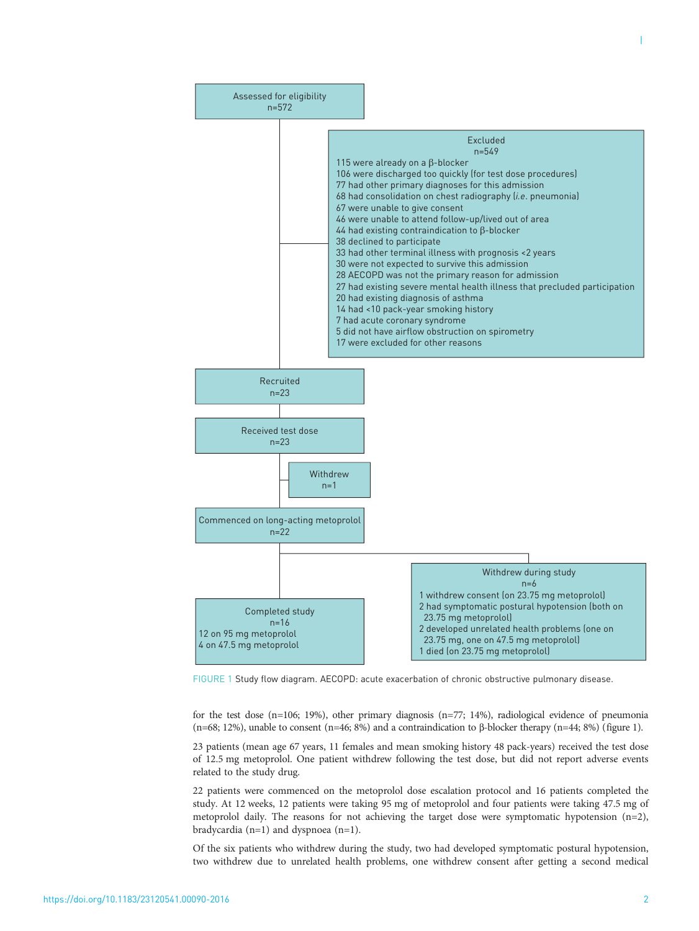<span id="page-1-0"></span>

FIGURE 1 Study flow diagram. AECOPD: acute exacerbation of chronic obstructive pulmonary disease.

for the test dose (n=106; 19%), other primary diagnosis (n=77; 14%), radiological evidence of pneumonia (n=68; 12%), unable to consent (n=46; 8%) and a contraindication to β-blocker therapy (n=44; 8%) (figure 1).

23 patients (mean age 67 years, 11 females and mean smoking history 48 pack-years) received the test dose of 12.5 mg metoprolol. One patient withdrew following the test dose, but did not report adverse events related to the study drug.

22 patients were commenced on the metoprolol dose escalation protocol and 16 patients completed the study. At 12 weeks, 12 patients were taking 95 mg of metoprolol and four patients were taking 47.5 mg of metoprolol daily. The reasons for not achieving the target dose were symptomatic hypotension (n=2), bradycardia (n=1) and dyspnoea (n=1).

Of the six patients who withdrew during the study, two had developed symptomatic postural hypotension, two withdrew due to unrelated health problems, one withdrew consent after getting a second medical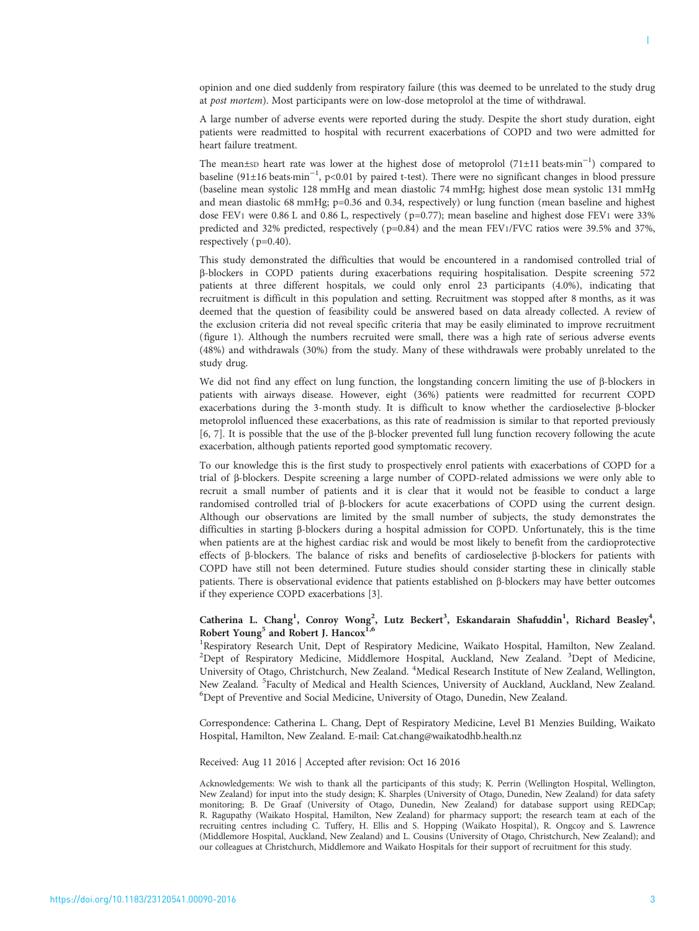A large number of adverse events were reported during the study. Despite the short study duration, eight patients were readmitted to hospital with recurrent exacerbations of COPD and two were admitted for heart failure treatment.

The mean±sp heart rate was lower at the highest dose of metoprolol (71±11 beats·min<sup>-1</sup>) compared to baseline (91±16 beats·min−<sup>1</sup> , p<0.01 by paired t-test). There were no significant changes in blood pressure (baseline mean systolic 128 mmHg and mean diastolic 74 mmHg; highest dose mean systolic 131 mmHg and mean diastolic 68 mmHg; p=0.36 and 0.34, respectively) or lung function (mean baseline and highest dose FEV1 were 0.86 L and 0.86 L, respectively (p=0.77); mean baseline and highest dose FEV1 were 33% predicted and 32% predicted, respectively (p=0.84) and the mean FEV1/FVC ratios were 39.5% and 37%, respectively ( p=0.40).

This study demonstrated the difficulties that would be encountered in a randomised controlled trial of β-blockers in COPD patients during exacerbations requiring hospitalisation. Despite screening 572 patients at three different hospitals, we could only enrol 23 participants (4.0%), indicating that recruitment is difficult in this population and setting. Recruitment was stopped after 8 months, as it was deemed that the question of feasibility could be answered based on data already collected. A review of the exclusion criteria did not reveal specific criteria that may be easily eliminated to improve recruitment [\(figure 1\)](#page-1-0). Although the numbers recruited were small, there was a high rate of serious adverse events (48%) and withdrawals (30%) from the study. Many of these withdrawals were probably unrelated to the study drug.

We did not find any effect on lung function, the longstanding concern limiting the use of β-blockers in patients with airways disease. However, eight (36%) patients were readmitted for recurrent COPD exacerbations during the 3-month study. It is difficult to know whether the cardioselective β-blocker metoprolol influenced these exacerbations, as this rate of readmission is similar to that reported previously [\[6, 7\]](#page-3-0). It is possible that the use of the β-blocker prevented full lung function recovery following the acute exacerbation, although patients reported good symptomatic recovery.

To our knowledge this is the first study to prospectively enrol patients with exacerbations of COPD for a trial of β-blockers. Despite screening a large number of COPD-related admissions we were only able to recruit a small number of patients and it is clear that it would not be feasible to conduct a large randomised controlled trial of β-blockers for acute exacerbations of COPD using the current design. Although our observations are limited by the small number of subjects, the study demonstrates the difficulties in starting β-blockers during a hospital admission for COPD. Unfortunately, this is the time when patients are at the highest cardiac risk and would be most likely to benefit from the cardioprotective effects of β-blockers. The balance of risks and benefits of cardioselective β-blockers for patients with COPD have still not been determined. Future studies should consider starting these in clinically stable patients. There is observational evidence that patients established on β-blockers may have better outcomes if they experience COPD exacerbations [[3](#page-3-0)].

## Catherina L. Chang<sup>1</sup>, Conroy Wong<sup>2</sup>, Lutz Beckert<sup>3</sup>, Eskandarain Shafuddin<sup>1</sup>, Richard Beasley<sup>4</sup>, Robert Young<sup>5</sup> and Robert J. Hancox<sup>1,6</sup>

<sup>1</sup>Respiratory Research Unit, Dept of Respiratory Medicine, Waikato Hospital, Hamilton, New Zealand. <sup>2</sup>Dept of Respiratory Medicine, Middlemore Hospital, Auckland, New Zealand. <sup>3</sup>Dept of Medicine, University of Otago, Christchurch, New Zealand. <sup>4</sup>Medical Research Institute of New Zealand, Wellington, New Zealand. <sup>5</sup>Faculty of Medical and Health Sciences, University of Auckland, Auckland, New Zealand.<br><sup>6</sup>Dent of Preventive and Social Medicine, University of Otago, Dunedin, New Zealand. <sup>6</sup>Dept of Preventive and Social Medicine, University of Otago, Dunedin, New Zealand.

Correspondence: Catherina L. Chang, Dept of Respiratory Medicine, Level B1 Menzies Building, Waikato Hospital, Hamilton, New Zealand. E-mail: [Cat.chang@waikatodhb.health.nz](mailto:Cat.chang@waikatodhb.health.nz)

Received: Aug 11 2016 | Accepted after revision: Oct 16 2016

Acknowledgements: We wish to thank all the participants of this study; K. Perrin (Wellington Hospital, Wellington, New Zealand) for input into the study design; K. Sharples (University of Otago, Dunedin, New Zealand) for data safety monitoring; B. De Graaf (University of Otago, Dunedin, New Zealand) for database support using REDCap; R. Ragupathy (Waikato Hospital, Hamilton, New Zealand) for pharmacy support; the research team at each of the recruiting centres including C. Tuffery, H. Ellis and S. Hopping (Waikato Hospital), R. Ongcoy and S. Lawrence (Middlemore Hospital, Auckland, New Zealand) and L. Cousins (University of Otago, Christchurch, New Zealand); and our colleagues at Christchurch, Middlemore and Waikato Hospitals for their support of recruitment for this study.